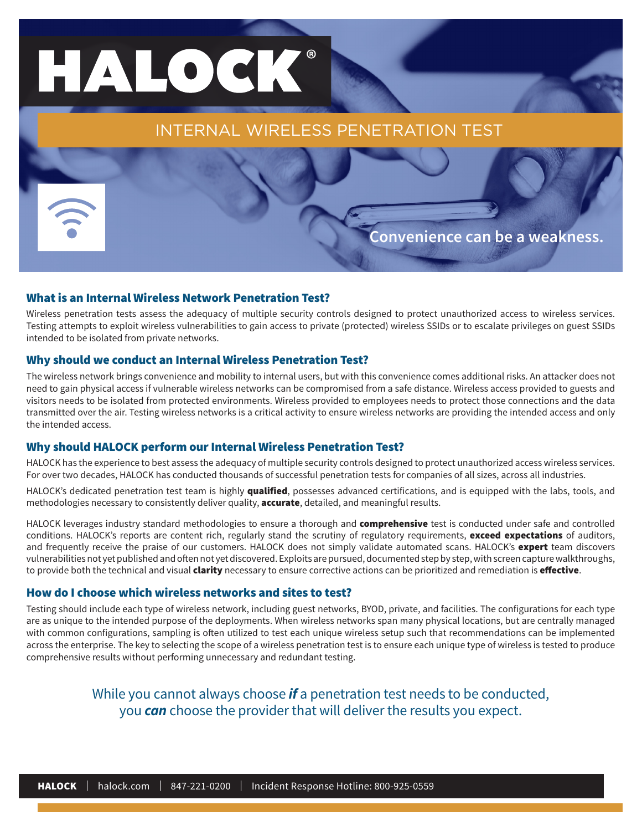# HALOCK®

INTERNAL WIRELESS PENETRATION TEST

**Convenience can be a weakness.**

#### What is an Internal Wireless Network Penetration Test?

Wireless penetration tests assess the adequacy of multiple security controls designed to protect unauthorized access to wireless services. Testing attempts to exploit wireless vulnerabilities to gain access to private (protected) wireless SSIDs or to escalate privileges on guest SSIDs intended to be isolated from private networks.

#### Why should we conduct an Internal Wireless Penetration Test?

The wireless network brings convenience and mobility to internal users, but with this convenience comes additional risks. An attacker does not need to gain physical access if vulnerable wireless networks can be compromised from a safe distance. Wireless access provided to guests and visitors needs to be isolated from protected environments. Wireless provided to employees needs to protect those connections and the data transmitted over the air. Testing wireless networks is a critical activity to ensure wireless networks are providing the intended access and only the intended access.

#### Why should HALOCK perform our Internal Wireless Penetration Test?

HALOCK has the experience to best assess the adequacy of multiple security controls designed to protect unauthorized access wireless services. For over two decades, HALOCK has conducted thousands of successful penetration tests for companies of all sizes, across all industries.

HALOCK's dedicated penetration test team is highly qualified, possesses advanced certifications, and is equipped with the labs, tools, and methodologies necessary to consistently deliver quality, accurate, detailed, and meaningful results.

HALOCK leverages industry standard methodologies to ensure a thorough and **comprehensive** test is conducted under safe and controlled conditions. HALOCK's reports are content rich, regularly stand the scrutiny of regulatory requirements, exceed expectations of auditors, and frequently receive the praise of our customers. HALOCK does not simply validate automated scans. HALOCK's expert team discovers vulnerabilities not yet published and often not yet discovered. Exploits are pursued, documented step by step, with screen capture walkthroughs, to provide both the technical and visual *clarity* necessary to ensure corrective actions can be prioritized and remediation is effective.

#### How do I choose which wireless networks and sites to test?

Testing should include each type of wireless network, including guest networks, BYOD, private, and facilities. The configurations for each type are as unique to the intended purpose of the deployments. When wireless networks span many physical locations, but are centrally managed with common configurations, sampling is often utilized to test each unique wireless setup such that recommendations can be implemented across the enterprise. The key to selecting the scope of a wireless penetration test is to ensure each unique type of wireless is tested to produce comprehensive results without performing unnecessary and redundant testing.

> While you cannot always choose *if* a penetration test needs to be conducted, you *can* choose the provider that will deliver the results you expect.